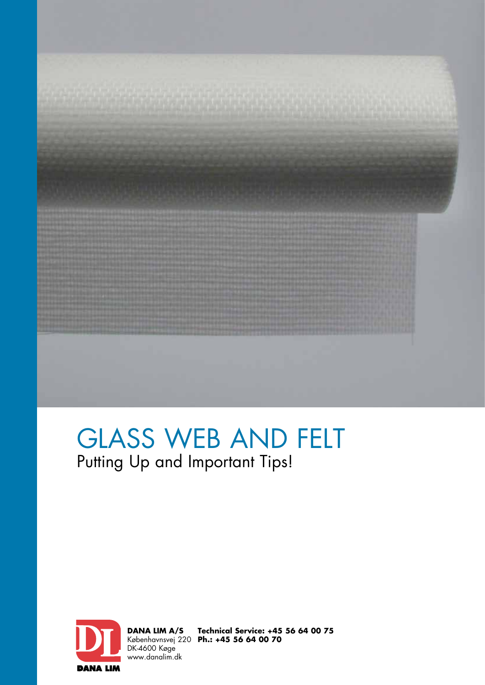

## GLASS WEB AND FELT Putting Up and Important Tips!



**DANA LIM A/S** Københavnsvej 220 DK-4600 Køge www.danalim.dk

**Technical Service: +45 56 64 00 75 Ph.: +45 56 64 00 70**